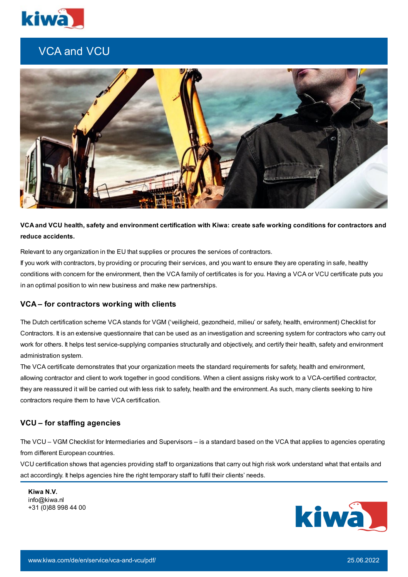

# VCA and VCU



VCA and VCU health, safety and environment certification with Kiwa: create safe working conditions for contractors and **reduce accidents.**

Relevant to any organization in the EU that supplies or procures the services of contractors.

If you work with contractors, by providing or procuring their services, and you want to ensure they are operating in safe, healthy conditions with concern for the environment, then the VCA family of certificates is for you. Having a VCA or VCU certificate puts you in an optimal position to win new business and make new partnerships.

#### **VCA – for contractors working with clients**

The Dutch certification scheme VCA stands for VGM ('veiligheid, gezondheid, milieu' or safety, health, environment) Checklist for Contractors. It is an extensive questionnaire that can be used as an investigation and screening system for contractors who carry out work for others. It helps test service-supplying companies structurally and objectively, and certify their health, safety and environment administration system.

The VCA certificate demonstrates that your organization meets the standard requirements for safety, health and environment, allowing contractor and client to work together in good conditions. When a client assigns risky work to a VCA-certified contractor, they are reassured it will be carried out with less risk to safety, health and the environment. As such, many clients seeking to hire contractors require them to have VCA certification.

## **VCU – for staffing agencies**

The VCU – VGM Checklist for Intermediaries and Supervisors – is a standard based on the VCA that applies to agencies operating from different European countries.

VCU certification shows that agencies providing staff to organizations that carry out high risk work understand what that entails and act accordingly. It helps agencies hire the right temporary staff to fulfil their clients' needs.

**Kiwa N.V.** info@kiwa.nl +31 (0)88 998 44 00